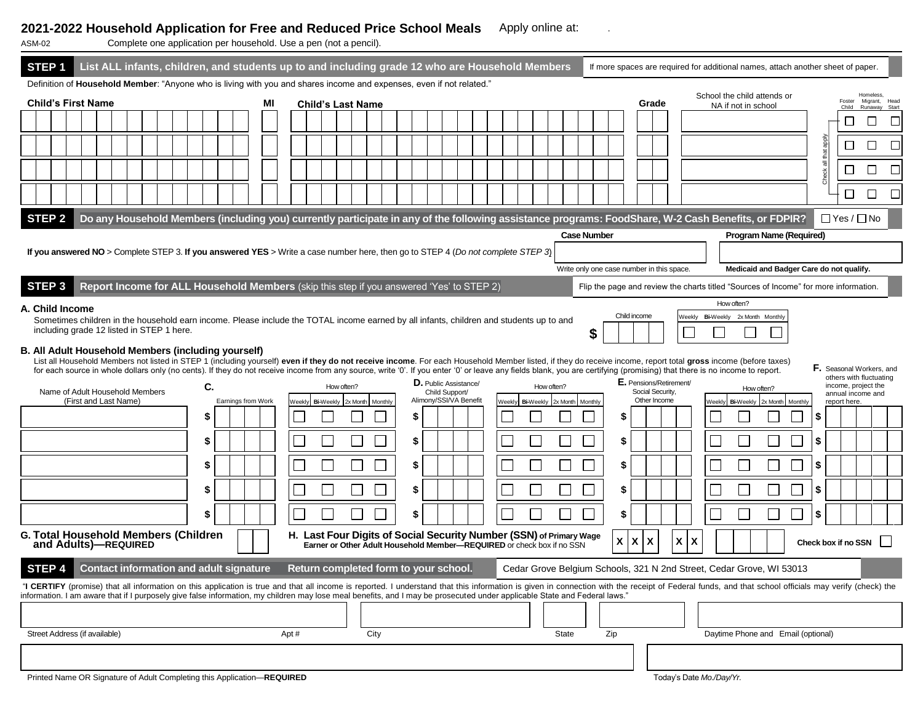## **2021-2022 Household Application for Free and Reduced Price School Meals** Apply online at: .

| Complete one application per household. Use a pen (not a pencil).<br>ASM-02                                                                                                                                                                                                                                                                                                                                |                                                                                                                                                                                                                                                                                                                                                                                                                                                                                                                                                                                                                                                                               |  |                                                |  |                                         |    |  |  |                                          |      |                                                                                                                                                     |  |        |                  |                                                                       |    |  |                                  |                        |  |                                                       |       |                    |     |                                   |  |  |  |  |  |  |                                                                      |    |   |                        |   |
|------------------------------------------------------------------------------------------------------------------------------------------------------------------------------------------------------------------------------------------------------------------------------------------------------------------------------------------------------------------------------------------------------------|-------------------------------------------------------------------------------------------------------------------------------------------------------------------------------------------------------------------------------------------------------------------------------------------------------------------------------------------------------------------------------------------------------------------------------------------------------------------------------------------------------------------------------------------------------------------------------------------------------------------------------------------------------------------------------|--|------------------------------------------------|--|-----------------------------------------|----|--|--|------------------------------------------|------|-----------------------------------------------------------------------------------------------------------------------------------------------------|--|--------|------------------|-----------------------------------------------------------------------|----|--|----------------------------------|------------------------|--|-------------------------------------------------------|-------|--------------------|-----|-----------------------------------|--|--|--|--|--|--|----------------------------------------------------------------------|----|---|------------------------|---|
| STEP <sub>1</sub><br>List ALL infants, children, and students up to and including grade 12 who are Household Members<br>If more spaces are required for additional names, attach another sheet of paper.<br>Definition of Household Member: "Anyone who is living with you and shares income and expenses, even if not related."                                                                           |                                                                                                                                                                                                                                                                                                                                                                                                                                                                                                                                                                                                                                                                               |  |                                                |  |                                         |    |  |  |                                          |      |                                                                                                                                                     |  |        |                  |                                                                       |    |  |                                  |                        |  |                                                       |       |                    |     |                                   |  |  |  |  |  |  |                                                                      |    |   |                        |   |
| <b>Child's First Name</b><br><b>Child's Last Name</b><br>мı                                                                                                                                                                                                                                                                                                                                                |                                                                                                                                                                                                                                                                                                                                                                                                                                                                                                                                                                                                                                                                               |  |                                                |  |                                         |    |  |  | Grade                                    |      |                                                                                                                                                     |  |        |                  | School the child attends or<br>Foster<br>NA if not in school<br>Child |    |  | Homeless<br>Runaway              | Migrant, Head<br>Start |  |                                                       |       |                    |     |                                   |  |  |  |  |  |  |                                                                      |    |   |                        |   |
|                                                                                                                                                                                                                                                                                                                                                                                                            |                                                                                                                                                                                                                                                                                                                                                                                                                                                                                                                                                                                                                                                                               |  |                                                |  |                                         |    |  |  |                                          |      |                                                                                                                                                     |  |        |                  |                                                                       |    |  |                                  |                        |  |                                                       |       |                    |     |                                   |  |  |  |  |  |  |                                                                      |    |   |                        |   |
|                                                                                                                                                                                                                                                                                                                                                                                                            |                                                                                                                                                                                                                                                                                                                                                                                                                                                                                                                                                                                                                                                                               |  |                                                |  |                                         |    |  |  |                                          |      |                                                                                                                                                     |  |        |                  |                                                                       |    |  |                                  |                        |  |                                                       |       |                    |     |                                   |  |  |  |  |  |  |                                                                      |    |   |                        |   |
|                                                                                                                                                                                                                                                                                                                                                                                                            |                                                                                                                                                                                                                                                                                                                                                                                                                                                                                                                                                                                                                                                                               |  |                                                |  |                                         |    |  |  |                                          |      |                                                                                                                                                     |  |        |                  |                                                                       |    |  |                                  |                        |  |                                                       |       |                    |     |                                   |  |  |  |  |  |  |                                                                      |    |   | П                      | Е |
|                                                                                                                                                                                                                                                                                                                                                                                                            |                                                                                                                                                                                                                                                                                                                                                                                                                                                                                                                                                                                                                                                                               |  |                                                |  |                                         |    |  |  |                                          |      |                                                                                                                                                     |  |        |                  |                                                                       |    |  |                                  |                        |  |                                                       |       |                    |     |                                   |  |  |  |  |  |  |                                                                      |    | П | П                      | Г |
| STEP <sub>2</sub>                                                                                                                                                                                                                                                                                                                                                                                          |                                                                                                                                                                                                                                                                                                                                                                                                                                                                                                                                                                                                                                                                               |  |                                                |  |                                         |    |  |  |                                          |      | Do any Household Members (including you) currently participate in any of the following assistance programs: FoodShare, W-2 Cash Benefits, or FDPIR? |  |        |                  |                                                                       |    |  |                                  |                        |  |                                                       |       |                    |     |                                   |  |  |  |  |  |  |                                                                      |    |   | $\Box$ Yes / $\Box$ No |   |
|                                                                                                                                                                                                                                                                                                                                                                                                            |                                                                                                                                                                                                                                                                                                                                                                                                                                                                                                                                                                                                                                                                               |  |                                                |  |                                         |    |  |  |                                          |      |                                                                                                                                                     |  |        |                  |                                                                       |    |  |                                  |                        |  |                                                       |       | <b>Case Number</b> |     |                                   |  |  |  |  |  |  | Program Name (Required)                                              |    |   |                        |   |
|                                                                                                                                                                                                                                                                                                                                                                                                            | If you answered NO > Complete STEP 3. If you answered YES > Write a case number here, then go to STEP 4 (Do not complete STEP 3)                                                                                                                                                                                                                                                                                                                                                                                                                                                                                                                                              |  |                                                |  |                                         |    |  |  |                                          |      |                                                                                                                                                     |  |        |                  |                                                                       |    |  |                                  |                        |  |                                                       |       |                    |     |                                   |  |  |  |  |  |  |                                                                      |    |   |                        |   |
|                                                                                                                                                                                                                                                                                                                                                                                                            | Medicaid and Badger Care do not qualify.<br>Write only one case number in this space.                                                                                                                                                                                                                                                                                                                                                                                                                                                                                                                                                                                         |  |                                                |  |                                         |    |  |  |                                          |      |                                                                                                                                                     |  |        |                  |                                                                       |    |  |                                  |                        |  |                                                       |       |                    |     |                                   |  |  |  |  |  |  |                                                                      |    |   |                        |   |
|                                                                                                                                                                                                                                                                                                                                                                                                            | Report Income for ALL Household Members (skip this step if you answered 'Yes' to STEP 2)<br>STEP <sub>3</sub><br>Flip the page and review the charts titled "Sources of Income" for more information.                                                                                                                                                                                                                                                                                                                                                                                                                                                                         |  |                                                |  |                                         |    |  |  |                                          |      |                                                                                                                                                     |  |        |                  |                                                                       |    |  |                                  |                        |  |                                                       |       |                    |     |                                   |  |  |  |  |  |  |                                                                      |    |   |                        |   |
| How often?<br>A. Child Income<br>Child income<br>Veekly Bi-Weekly 2x Month Monthly<br>Sometimes children in the household earn income. Please include the TOTAL income earned by all infants, children and students up to and<br>including grade 12 listed in STEP 1 here.<br>\$                                                                                                                           |                                                                                                                                                                                                                                                                                                                                                                                                                                                                                                                                                                                                                                                                               |  |                                                |  |                                         |    |  |  |                                          |      |                                                                                                                                                     |  |        |                  |                                                                       |    |  |                                  |                        |  |                                                       |       |                    |     |                                   |  |  |  |  |  |  |                                                                      |    |   |                        |   |
|                                                                                                                                                                                                                                                                                                                                                                                                            | B. All Adult Household Members (including yourself)<br>List all Household Members not listed in STEP 1 (including yourself) even if they do not receive income. For each Household Member listed, if they do receive income, report total gross income (before taxes)<br>F. Seasonal Workers, and<br>for each source in whole dollars only (no cents). If they do not receive income from any source, write '0'. If you enter '0' or leave any fields blank, you are certifying (promising) that there is no income to report.<br>others with fluctuating<br>E. Pensions/Retirement/<br><b>D.</b> Public Assistance/<br>income, project the<br>C.<br>How often?<br>How often? |  |                                                |  |                                         |    |  |  |                                          |      |                                                                                                                                                     |  |        |                  |                                                                       |    |  |                                  |                        |  |                                                       |       |                    |     |                                   |  |  |  |  |  |  |                                                                      |    |   |                        |   |
| Name of Adult Household Members<br>(First and Last Name)<br>Earnings from Work                                                                                                                                                                                                                                                                                                                             |                                                                                                                                                                                                                                                                                                                                                                                                                                                                                                                                                                                                                                                                               |  |                                                |  | Bi-Weekly 2x Month<br>Weekly<br>Monthly |    |  |  | Child Support/<br>Alimony/SSI/VA Benefit |      |                                                                                                                                                     |  | Weekly | <b>Bi-Weekly</b> | 2x Month Monthly                                                      |    |  | Social Security,<br>Other Income |                        |  | How often?<br>Weekly Bi-Weekly<br>2x Month<br>Monthly |       |                    |     | annual income and<br>report here. |  |  |  |  |  |  |                                                                      |    |   |                        |   |
|                                                                                                                                                                                                                                                                                                                                                                                                            |                                                                                                                                                                                                                                                                                                                                                                                                                                                                                                                                                                                                                                                                               |  |                                                |  |                                         | \$ |  |  |                                          |      |                                                                                                                                                     |  |        |                  |                                                                       | S  |  |                                  |                        |  |                                                       |       |                    | S   |                                   |  |  |  |  |  |  |                                                                      | \$ |   |                        |   |
|                                                                                                                                                                                                                                                                                                                                                                                                            |                                                                                                                                                                                                                                                                                                                                                                                                                                                                                                                                                                                                                                                                               |  |                                                |  |                                         | \$ |  |  |                                          |      |                                                                                                                                                     |  |        |                  |                                                                       | \$ |  |                                  |                        |  |                                                       |       |                    | S   |                                   |  |  |  |  |  |  |                                                                      | \$ |   |                        |   |
|                                                                                                                                                                                                                                                                                                                                                                                                            |                                                                                                                                                                                                                                                                                                                                                                                                                                                                                                                                                                                                                                                                               |  |                                                |  |                                         | \$ |  |  |                                          |      |                                                                                                                                                     |  |        |                  |                                                                       | \$ |  |                                  |                        |  |                                                       |       |                    | \$  |                                   |  |  |  |  |  |  |                                                                      | S  |   |                        |   |
|                                                                                                                                                                                                                                                                                                                                                                                                            |                                                                                                                                                                                                                                                                                                                                                                                                                                                                                                                                                                                                                                                                               |  |                                                |  |                                         | \$ |  |  |                                          |      |                                                                                                                                                     |  |        |                  |                                                                       | \$ |  |                                  |                        |  |                                                       |       |                    | S   |                                   |  |  |  |  |  |  |                                                                      | \$ |   |                        |   |
|                                                                                                                                                                                                                                                                                                                                                                                                            |                                                                                                                                                                                                                                                                                                                                                                                                                                                                                                                                                                                                                                                                               |  |                                                |  |                                         | \$ |  |  |                                          |      |                                                                                                                                                     |  |        |                  |                                                                       | \$ |  |                                  |                        |  |                                                       |       |                    | \$  |                                   |  |  |  |  |  |  |                                                                      | \$ |   |                        |   |
|                                                                                                                                                                                                                                                                                                                                                                                                            | G. Total Household Members (Children<br>H. Last Four Digits of Social Security Number (SSN) of Primary Wage<br>$\boldsymbol{\mathsf{X}}$<br>X<br>$\boldsymbol{\mathsf{X}}$<br>Χ<br>X<br>Check box if no SSN<br>and Adults)-REQUIRED<br>Earner or Other Adult Household Member-REQUIRED or check box if no SSN                                                                                                                                                                                                                                                                                                                                                                 |  |                                                |  |                                         |    |  |  |                                          |      |                                                                                                                                                     |  |        |                  |                                                                       |    |  |                                  |                        |  |                                                       |       |                    |     |                                   |  |  |  |  |  |  |                                                                      |    |   |                        |   |
| STEP <sub>4</sub>                                                                                                                                                                                                                                                                                                                                                                                          |                                                                                                                                                                                                                                                                                                                                                                                                                                                                                                                                                                                                                                                                               |  | <b>Contact information and adult signature</b> |  |                                         |    |  |  |                                          |      | Return completed form to your school.                                                                                                               |  |        |                  |                                                                       |    |  |                                  |                        |  |                                                       |       |                    |     |                                   |  |  |  |  |  |  | Cedar Grove Belgium Schools, 321 N 2nd Street, Cedar Grove, WI 53013 |    |   |                        |   |
| "I CERTIFY (promise) that all information on this application is true and that all income is reported. I understand that this information is given in connection with the receipt of Federal funds, and that school officials<br>information. I am aware that if I purposely give false information, my children may lose meal benefits, and I may be prosecuted under applicable State and Federal laws." |                                                                                                                                                                                                                                                                                                                                                                                                                                                                                                                                                                                                                                                                               |  |                                                |  |                                         |    |  |  |                                          |      |                                                                                                                                                     |  |        |                  |                                                                       |    |  |                                  |                        |  |                                                       |       |                    |     |                                   |  |  |  |  |  |  |                                                                      |    |   |                        |   |
|                                                                                                                                                                                                                                                                                                                                                                                                            |                                                                                                                                                                                                                                                                                                                                                                                                                                                                                                                                                                                                                                                                               |  |                                                |  |                                         |    |  |  |                                          |      |                                                                                                                                                     |  |        |                  |                                                                       |    |  |                                  |                        |  |                                                       |       |                    |     |                                   |  |  |  |  |  |  |                                                                      |    |   |                        |   |
| Street Address (if available)                                                                                                                                                                                                                                                                                                                                                                              |                                                                                                                                                                                                                                                                                                                                                                                                                                                                                                                                                                                                                                                                               |  |                                                |  |                                         |    |  |  |                                          | Apt# |                                                                                                                                                     |  |        | City             |                                                                       |    |  |                                  |                        |  |                                                       | State |                    | Zip |                                   |  |  |  |  |  |  | Daytime Phone and Email (optional)                                   |    |   |                        |   |
|                                                                                                                                                                                                                                                                                                                                                                                                            |                                                                                                                                                                                                                                                                                                                                                                                                                                                                                                                                                                                                                                                                               |  |                                                |  |                                         |    |  |  |                                          |      |                                                                                                                                                     |  |        |                  |                                                                       |    |  |                                  |                        |  |                                                       |       |                    |     |                                   |  |  |  |  |  |  |                                                                      |    |   |                        |   |